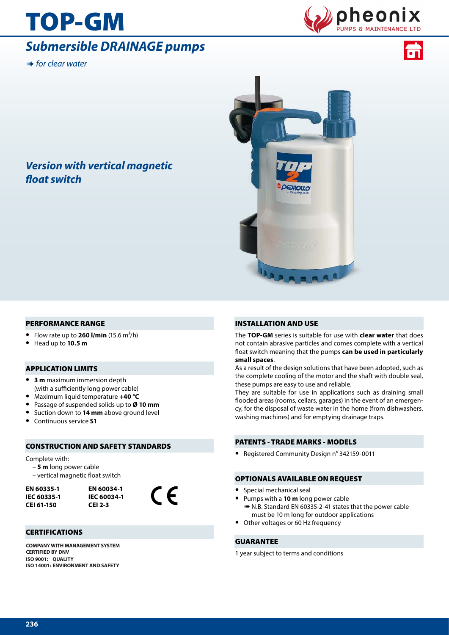# TOP-GM

## *Submersible DRAINAGE pumps*

➠ *for clear water*





### *Version with vertical magnetic float switch*



#### PERFORMANCE RANGE

- **•** Flow rate up to **260 l/min** (15.6 m**3**/h)
- **•** Head up to **10.5 m**

#### APPLICATION LIMITS

- **• 3 m** maximum immersion depth (with a sufficiently long power cable)
- **•** Maximum liquid temperature **+40 °C**
- **•** Passage of suspended solids up to **Ø 10 mm**
- **•** Suction down to **14 mm** above ground level
- **•** Continuous service **S1**

#### CONSTRUCTION AND SAFETY STANDARDS

Complete with:

- **5 m** long power cable
- vertical magnetic float switch

**EN 60335-1 IEC 60335-1 CEI 61-150**

**EN 60034-1 IEC 60034-1 CEI 2-3**



#### **CERTIFICATIONS**

**COMPANY WITH MANAGEMENT SYSTEM CERTIFIED BY DNV ISO 9001: QUALITY ISO 14001: ENVIRONMENT AND SAFETY**

#### INSTALLATION AND USE

The **TOP-GM** series is suitable for use with **clear water** that does not contain abrasive particles and comes complete with a vertical float switch meaning that the pumps **can be used in particularly small spaces**.

As a result of the design solutions that have been adopted, such as the complete cooling of the motor and the shaft with double seal, these pumps are easy to use and reliable.

They are suitable for use in applications such as draining small flooded areas (rooms, cellars, garages) in the event of an emergency, for the disposal of waste water in the home (from dishwashers, washing machines) and for emptying drainage traps.

#### PATENTS - TRADE MARKS - MODELS

**•** Registered Community Design n° 342159-0011

#### OPTIONALS AVAILABLE ON REQUEST

- **•** Special mechanical seal
	- **•** Pumps with a **10 m** long power cable
	- ➠ N.B. Standard EN 60335-2-41 states that the power cable must be 10 m long for outdoor applications
- **•** Other voltages or 60 Hz frequency

#### GUARANTEE

1 year subject to terms and conditions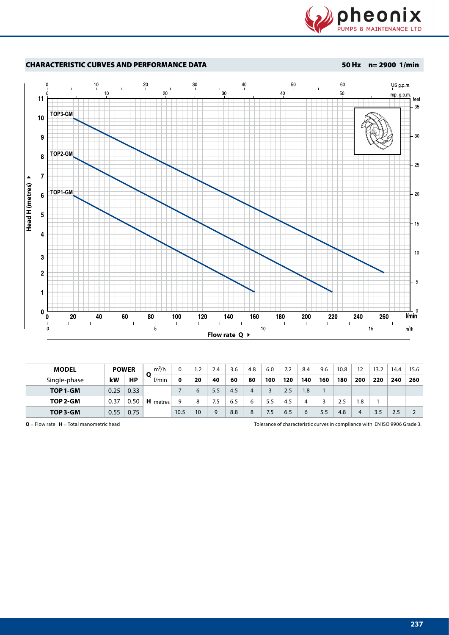



| <b>MODEL</b> |      | <b>POWER</b> | $m^3/h$     |      | 1.2             | 2.4 | 3.6 | 4.8 | 6.0 | 7.2 | 8.4 | 9.6 | 10.8 | $12 \overline{ }$ | 13.2 | 14.4 | 15.6 |
|--------------|------|--------------|-------------|------|-----------------|-----|-----|-----|-----|-----|-----|-----|------|-------------------|------|------|------|
| Single-phase | kW   | <b>HP</b>    | O<br>l/min  | 0    | 20              | 40  | 60  | 80  | 100 | 120 | 140 | 160 | 180  | 200               | 220  | 240  | 260  |
| TOP 1-GM     | 0.25 | 0.33         |             |      | 6               | 5.5 | 4.5 | 4   |     | 2.5 | 1.8 |     |      |                   |      |      |      |
| TOP 2-GM     | 0.37 | 0.50         | н<br>metres | a    | 8               | 7.5 | 6.5 | 6   | 5.5 | 4.5 | 4   |     | 2.5  | 8.،               |      |      |      |
| TOP 3-GM     | 0.55 | 0.75         |             | 10.5 | 10 <sup>°</sup> |     | 8.8 | 8   | 7.5 | 6.5 | 6   | 5.5 | 4.8  | 4                 | 3.5  | 2.5  |      |

**Q** = Flow rate **H** = Total manometric head Tolerance of characteristic curves in compliance with EN ISO 9906 Grade 3.